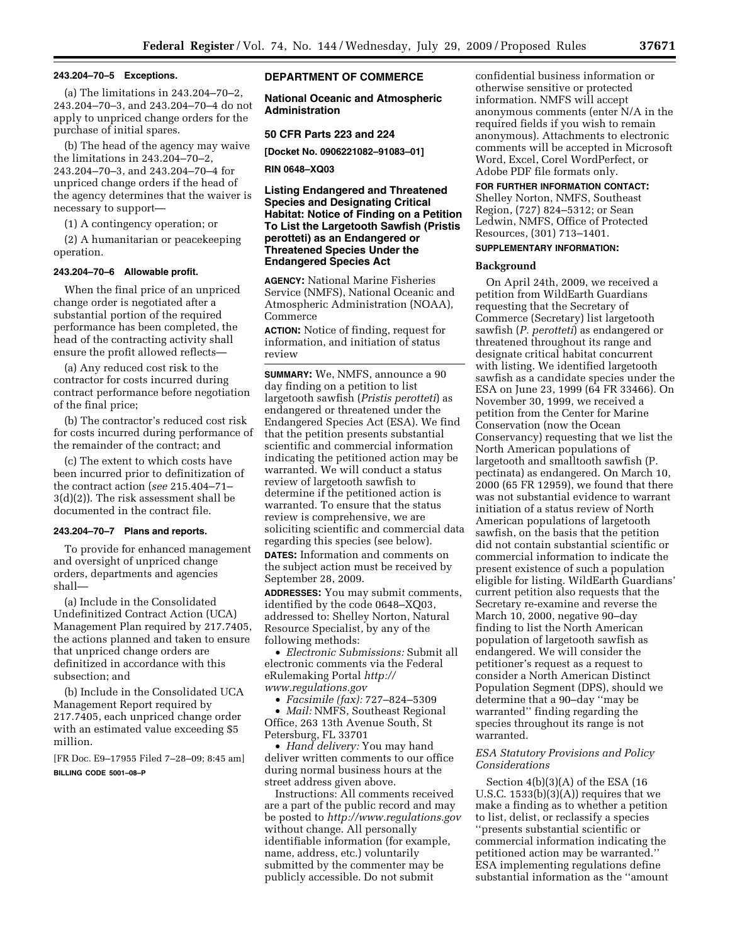### **243.204–70–5 Exceptions.**

(a) The limitations in 243.204–70–2, 243.204–70–3, and 243.204–70–4 do not apply to unpriced change orders for the purchase of initial spares.

(b) The head of the agency may waive the limitations in 243.204–70–2, 243.204–70–3, and 243.204–70–4 for unpriced change orders if the head of the agency determines that the waiver is necessary to support—

(1) A contingency operation; or

(2) A humanitarian or peacekeeping operation.

#### **243.204–70–6 Allowable profit.**

When the final price of an unpriced change order is negotiated after a substantial portion of the required performance has been completed, the head of the contracting activity shall ensure the profit allowed reflects—

(a) Any reduced cost risk to the contractor for costs incurred during contract performance before negotiation of the final price;

(b) The contractor's reduced cost risk for costs incurred during performance of the remainder of the contract; and

(c) The extent to which costs have been incurred prior to definitization of the contract action (*see* 215.404–71– 3(d)(2)). The risk assessment shall be documented in the contract file.

### **243.204–70–7 Plans and reports.**

To provide for enhanced management and oversight of unpriced change orders, departments and agencies shall—

(a) Include in the Consolidated Undefinitized Contract Action (UCA) Management Plan required by 217.7405, the actions planned and taken to ensure that unpriced change orders are definitized in accordance with this subsection; and

(b) Include in the Consolidated UCA Management Report required by 217.7405, each unpriced change order with an estimated value exceeding \$5 million.

[FR Doc. E9–17955 Filed 7–28–09; 8:45 am] **BILLING CODE 5001–08–P** 

## **DEPARTMENT OF COMMERCE**

**National Oceanic and Atmospheric Administration** 

## **50 CFR Parts 223 and 224**

**[Docket No. 0906221082–91083–01]** 

#### **RIN 0648–XQ03**

**Listing Endangered and Threatened Species and Designating Critical Habitat: Notice of Finding on a Petition To List the Largetooth Sawfish (Pristis perotteti) as an Endangered or Threatened Species Under the Endangered Species Act** 

**AGENCY:** National Marine Fisheries Service (NMFS), National Oceanic and Atmospheric Administration (NOAA), Commerce

**ACTION:** Notice of finding, request for information, and initiation of status review

**SUMMARY:** We, NMFS, announce a 90 day finding on a petition to list largetooth sawfish (*Pristis perotteti*) as endangered or threatened under the Endangered Species Act (ESA). We find that the petition presents substantial scientific and commercial information indicating the petitioned action may be warranted. We will conduct a status review of largetooth sawfish to determine if the petitioned action is warranted. To ensure that the status review is comprehensive, we are soliciting scientific and commercial data regarding this species (see below).

**DATES:** Information and comments on the subject action must be received by September 28, 2009.

**ADDRESSES:** You may submit comments, identified by the code 0648–XQ03, addressed to: Shelley Norton, Natural Resource Specialist, by any of the following methods:

• *Electronic Submissions:* Submit all electronic comments via the Federal eRulemaking Portal *http:// [www.regulations.gov](http://www.regulations.gov)* 

• *Facsimile (fax):* 727–824–5309

• *Mail:* NMFS, Southeast Regional Office, 263 13th Avenue South, St Petersburg, FL 33701

• *Hand delivery:* You may hand deliver written comments to our office during normal business hours at the street address given above.

Instructions: All comments received are a part of the public record and may be posted to *<http://www.regulations.gov>*  without change. All personally identifiable information (for example, name, address, etc.) voluntarily submitted by the commenter may be publicly accessible. Do not submit

confidential business information or otherwise sensitive or protected information. NMFS will accept anonymous comments (enter N/A in the required fields if you wish to remain anonymous). Attachments to electronic comments will be accepted in Microsoft Word, Excel, Corel WordPerfect, or Adobe PDF file formats only.

#### **FOR FURTHER INFORMATION CONTACT:**

Shelley Norton, NMFS, Southeast Region, (727) 824–5312; or Sean Ledwin, NMFS, Office of Protected Resources, (301) 713–1401.

# **SUPPLEMENTARY INFORMATION:**

#### **Background**

On April 24th, 2009, we received a petition from WildEarth Guardians requesting that the Secretary of Commerce (Secretary) list largetooth sawfish (*P. perotteti*) as endangered or threatened throughout its range and designate critical habitat concurrent with listing. We identified largetooth sawfish as a candidate species under the ESA on June 23, 1999 (64 FR 33466). On November 30, 1999, we received a petition from the Center for Marine Conservation (now the Ocean Conservancy) requesting that we list the North American populations of largetooth and smalltooth sawfish (P. pectinata) as endangered. On March 10, 2000 (65 FR 12959), we found that there was not substantial evidence to warrant initiation of a status review of North American populations of largetooth sawfish, on the basis that the petition did not contain substantial scientific or commercial information to indicate the present existence of such a population eligible for listing. WildEarth Guardians' current petition also requests that the Secretary re-examine and reverse the March 10, 2000, negative 90–day finding to list the North American population of largetooth sawfish as endangered. We will consider the petitioner's request as a request to consider a North American Distinct Population Segment (DPS), should we determine that a 90–day ''may be warranted'' finding regarding the species throughout its range is not warranted.

# *ESA Statutory Provisions and Policy Considerations*

Section 4(b)(3)(A) of the ESA (16 U.S.C.  $1533(b)(3)(A)$  requires that we make a finding as to whether a petition to list, delist, or reclassify a species ''presents substantial scientific or commercial information indicating the petitioned action may be warranted.'' ESA implementing regulations define substantial information as the ''amount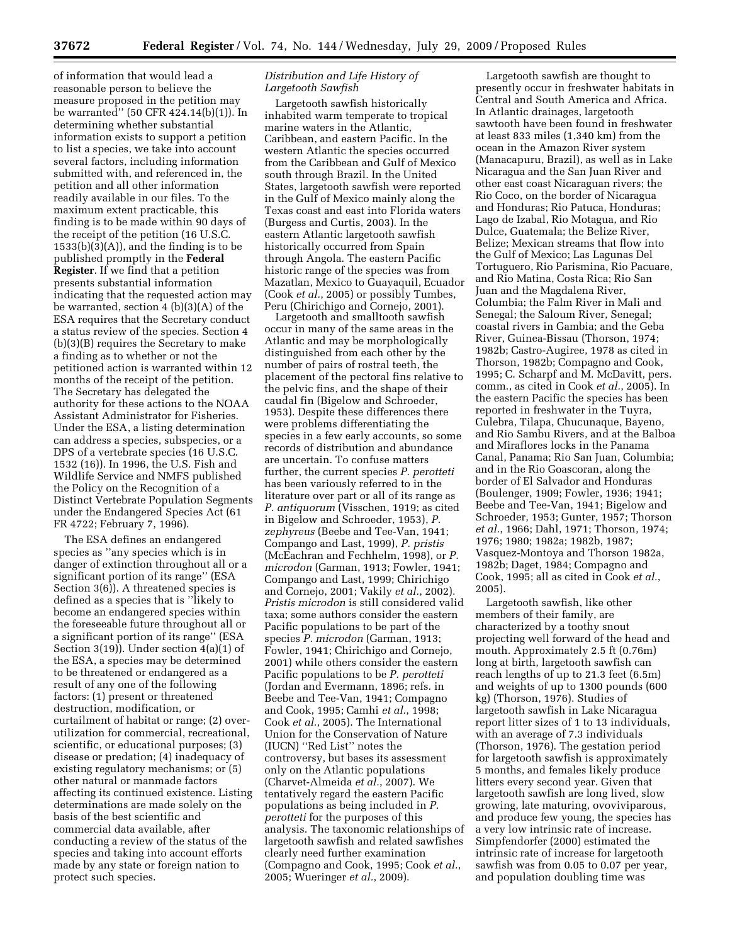of information that would lead a reasonable person to believe the measure proposed in the petition may be warranted'' (50 CFR 424.14(b)(1)). In determining whether substantial information exists to support a petition to list a species, we take into account several factors, including information submitted with, and referenced in, the petition and all other information readily available in our files. To the maximum extent practicable, this finding is to be made within 90 days of the receipt of the petition (16 U.S.C.  $1533(b)(3)(A)$ , and the finding is to be published promptly in the **Federal Register**. If we find that a petition presents substantial information indicating that the requested action may be warranted, section 4 (b)(3)(A) of the ESA requires that the Secretary conduct a status review of the species. Section 4 (b)(3)(B) requires the Secretary to make a finding as to whether or not the petitioned action is warranted within 12 months of the receipt of the petition. The Secretary has delegated the authority for these actions to the NOAA Assistant Administrator for Fisheries. Under the ESA, a listing determination can address a species, subspecies, or a DPS of a vertebrate species (16 U.S.C. 1532 (16)). In 1996, the U.S. Fish and Wildlife Service and NMFS published the Policy on the Recognition of a Distinct Vertebrate Population Segments under the Endangered Species Act (61 FR 4722; February 7, 1996).

The ESA defines an endangered species as ''any species which is in danger of extinction throughout all or a significant portion of its range'' (ESA Section 3(6)). A threatened species is defined as a species that is ''likely to become an endangered species within the foreseeable future throughout all or a significant portion of its range'' (ESA Section 3(19)). Under section 4(a)(1) of the ESA, a species may be determined to be threatened or endangered as a result of any one of the following factors: (1) present or threatened destruction, modification, or curtailment of habitat or range; (2) overutilization for commercial, recreational, scientific, or educational purposes; (3) disease or predation; (4) inadequacy of existing regulatory mechanisms; or (5) other natural or manmade factors affecting its continued existence. Listing determinations are made solely on the basis of the best scientific and commercial data available, after conducting a review of the status of the species and taking into account efforts made by any state or foreign nation to protect such species.

## *Distribution and Life History of Largetooth Sawfish*

Largetooth sawfish historically inhabited warm temperate to tropical marine waters in the Atlantic, Caribbean, and eastern Pacific. In the western Atlantic the species occurred from the Caribbean and Gulf of Mexico south through Brazil. In the United States, largetooth sawfish were reported in the Gulf of Mexico mainly along the Texas coast and east into Florida waters (Burgess and Curtis, 2003). In the eastern Atlantic largetooth sawfish historically occurred from Spain through Angola. The eastern Pacific historic range of the species was from Mazatlan, Mexico to Guayaquil, Ecuador (Cook *et al.*, 2005) or possibly Tumbes, Peru (Chirichigo and Cornejo, 2001).

Largetooth and smalltooth sawfish occur in many of the same areas in the Atlantic and may be morphologically distinguished from each other by the number of pairs of rostral teeth, the placement of the pectoral fins relative to the pelvic fins, and the shape of their caudal fin (Bigelow and Schroeder, 1953). Despite these differences there were problems differentiating the species in a few early accounts, so some records of distribution and abundance are uncertain. To confuse matters further, the current species *P. perotteti*  has been variously referred to in the literature over part or all of its range as *P. antiquorum* (Visschen, 1919; as cited in Bigelow and Schroeder, 1953), *P. zephyreus* (Beebe and Tee-Van, 1941; Compango and Last, 1999), *P. pristis*  (McEachran and Fechhelm, 1998), or *P. microdon* (Garman, 1913; Fowler, 1941; Compango and Last, 1999; Chirichigo and Cornejo, 2001; Vakily *et al.*, 2002). *Pristis microdon* is still considered valid taxa; some authors consider the eastern Pacific populations to be part of the species *P. microdon* (Garman, 1913; Fowler, 1941; Chirichigo and Cornejo, 2001) while others consider the eastern Pacific populations to be *P. perotteti*  (Jordan and Evermann, 1896; refs. in Beebe and Tee-Van, 1941; Compagno and Cook, 1995; Camhi *et al.*, 1998; Cook *et al.*, 2005). The International Union for the Conservation of Nature (IUCN) ''Red List'' notes the controversy, but bases its assessment only on the Atlantic populations (Charvet-Almeida *et al.*, 2007). We tentatively regard the eastern Pacific populations as being included in *P. perotteti* for the purposes of this analysis. The taxonomic relationships of largetooth sawfish and related sawfishes clearly need further examination (Compagno and Cook, 1995; Cook *et al.*, 2005; Wueringer *et al.*, 2009).

Largetooth sawfish are thought to presently occur in freshwater habitats in Central and South America and Africa. In Atlantic drainages, largetooth sawtooth have been found in freshwater at least 833 miles (1,340 km) from the ocean in the Amazon River system (Manacapuru, Brazil), as well as in Lake Nicaragua and the San Juan River and other east coast Nicaraguan rivers; the Rio Coco, on the border of Nicaragua and Honduras; Rio Patuca, Honduras; Lago de Izabal, Rio Motagua, and Rio Dulce, Guatemala; the Belize River, Belize; Mexican streams that flow into the Gulf of Mexico; Las Lagunas Del Tortuguero, Rio Parismina, Rio Pacuare, and Rio Matina, Costa Rica; Rio San Juan and the Magdalena River, Columbia; the Falm River in Mali and Senegal; the Saloum River, Senegal; coastal rivers in Gambia; and the Geba River, Guinea-Bissau (Thorson, 1974; 1982b; Castro-Augiree, 1978 as cited in Thorson, 1982b; Compagno and Cook, 1995; C. Scharpf and M. McDavitt, pers. comm., as cited in Cook *et al.*, 2005). In the eastern Pacific the species has been reported in freshwater in the Tuyra, Culebra, Tilapa, Chucunaque, Bayeno, and Rio Sambu Rivers, and at the Balboa and Miraflores locks in the Panama Canal, Panama; Rio San Juan, Columbia; and in the Rio Goascoran, along the border of El Salvador and Honduras (Boulenger, 1909; Fowler, 1936; 1941; Beebe and Tee-Van, 1941; Bigelow and Schroeder, 1953; Gunter, 1957; Thorson *et al.*, 1966; Dahl, 1971; Thorson, 1974; 1976; 1980; 1982a; 1982b, 1987; Vasquez-Montoya and Thorson 1982a, 1982b; Daget, 1984; Compagno and Cook, 1995; all as cited in Cook *et al.*, 2005).

Largetooth sawfish, like other members of their family, are characterized by a toothy snout projecting well forward of the head and mouth. Approximately 2.5 ft (0.76m) long at birth, largetooth sawfish can reach lengths of up to 21.3 feet (6.5m) and weights of up to 1300 pounds (600 kg) (Thorson, 1976). Studies of largetooth sawfish in Lake Nicaragua report litter sizes of 1 to 13 individuals, with an average of 7.3 individuals (Thorson, 1976). The gestation period for largetooth sawfish is approximately 5 months, and females likely produce litters every second year. Given that largetooth sawfish are long lived, slow growing, late maturing, ovoviviparous, and produce few young, the species has a very low intrinsic rate of increase. Simpfendorfer (2000) estimated the intrinsic rate of increase for largetooth sawfish was from 0.05 to 0.07 per year, and population doubling time was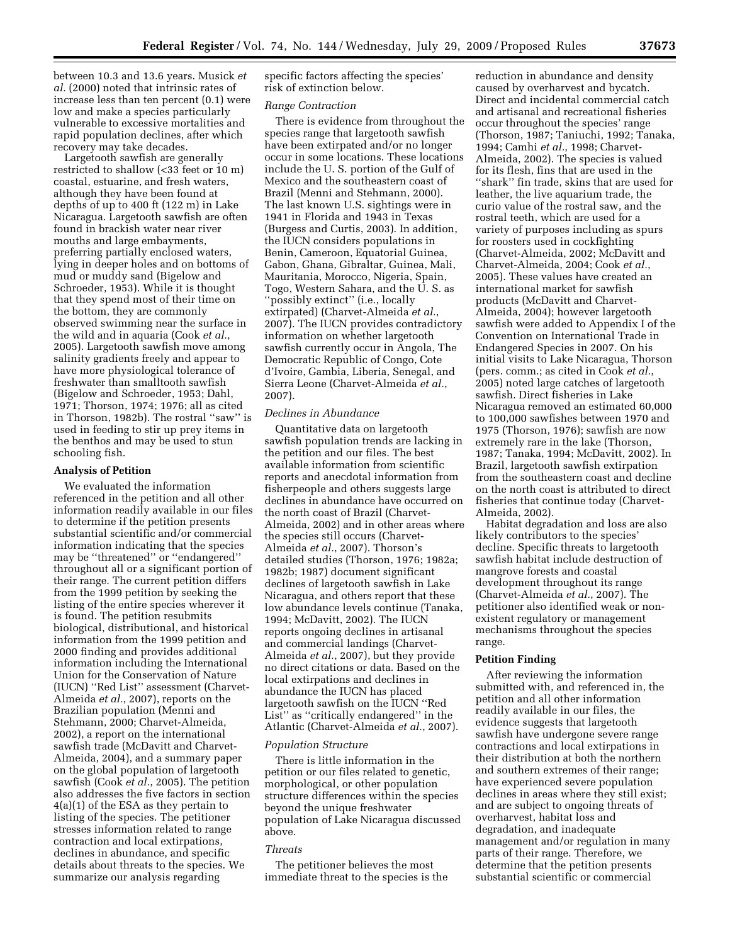between 10.3 and 13.6 years. Musick *et al.* (2000) noted that intrinsic rates of increase less than ten percent (0.1) were low and make a species particularly vulnerable to excessive mortalities and rapid population declines, after which recovery may take decades.

Largetooth sawfish are generally restricted to shallow (<33 feet or 10 m) coastal, estuarine, and fresh waters, although they have been found at depths of up to 400 ft (122 m) in Lake Nicaragua. Largetooth sawfish are often found in brackish water near river mouths and large embayments, preferring partially enclosed waters, lying in deeper holes and on bottoms of mud or muddy sand (Bigelow and Schroeder, 1953). While it is thought that they spend most of their time on the bottom, they are commonly observed swimming near the surface in the wild and in aquaria (Cook *et al.*, 2005). Largetooth sawfish move among salinity gradients freely and appear to have more physiological tolerance of freshwater than smalltooth sawfish (Bigelow and Schroeder, 1953; Dahl, 1971; Thorson, 1974; 1976; all as cited in Thorson, 1982b). The rostral ''saw'' is used in feeding to stir up prey items in the benthos and may be used to stun schooling fish.

### **Analysis of Petition**

We evaluated the information referenced in the petition and all other information readily available in our files to determine if the petition presents substantial scientific and/or commercial information indicating that the species may be ''threatened'' or ''endangered'' throughout all or a significant portion of their range. The current petition differs from the 1999 petition by seeking the listing of the entire species wherever it is found. The petition resubmits biological, distributional, and historical information from the 1999 petition and 2000 finding and provides additional information including the International Union for the Conservation of Nature (IUCN) ''Red List'' assessment (Charvet-Almeida *et al.*, 2007), reports on the Brazilian population (Menni and Stehmann, 2000; Charvet-Almeida, 2002), a report on the international sawfish trade (McDavitt and Charvet-Almeida, 2004), and a summary paper on the global population of largetooth sawfish (Cook *et al.*, 2005). The petition also addresses the five factors in section 4(a)(1) of the ESA as they pertain to listing of the species. The petitioner stresses information related to range contraction and local extirpations, declines in abundance, and specific details about threats to the species. We summarize our analysis regarding

specific factors affecting the species' risk of extinction below.

#### *Range Contraction*

There is evidence from throughout the species range that largetooth sawfish have been extirpated and/or no longer occur in some locations. These locations include the U. S. portion of the Gulf of Mexico and the southeastern coast of Brazil (Menni and Stehmann, 2000). The last known U.S. sightings were in 1941 in Florida and 1943 in Texas (Burgess and Curtis, 2003). In addition, the IUCN considers populations in Benin, Cameroon, Equatorial Guinea, Gabon, Ghana, Gibraltar, Guinea, Mali, Mauritania, Morocco, Nigeria, Spain, Togo, Western Sahara, and the U. S. as ''possibly extinct'' (i.e., locally extirpated) (Charvet-Almeida *et al.*, 2007). The IUCN provides contradictory information on whether largetooth sawfish currently occur in Angola, The Democratic Republic of Congo, Cote d'Ivoire, Gambia, Liberia, Senegal, and Sierra Leone (Charvet-Almeida *et al.*, 2007).

# *Declines in Abundance*

Quantitative data on largetooth sawfish population trends are lacking in the petition and our files. The best available information from scientific reports and anecdotal information from fisherpeople and others suggests large declines in abundance have occurred on the north coast of Brazil (Charvet-Almeida, 2002) and in other areas where the species still occurs (Charvet-Almeida *et al.*, 2007). Thorson's detailed studies (Thorson, 1976; 1982a; 1982b; 1987) document significant declines of largetooth sawfish in Lake Nicaragua, and others report that these low abundance levels continue (Tanaka, 1994; McDavitt, 2002). The IUCN reports ongoing declines in artisanal and commercial landings (Charvet-Almeida *et al.*, 2007), but they provide no direct citations or data. Based on the local extirpations and declines in abundance the IUCN has placed largetooth sawfish on the IUCN ''Red List'' as ''critically endangered'' in the Atlantic (Charvet-Almeida *et al.*, 2007).

### *Population Structure*

There is little information in the petition or our files related to genetic, morphological, or other population structure differences within the species beyond the unique freshwater population of Lake Nicaragua discussed above.

### *Threats*

The petitioner believes the most immediate threat to the species is the

reduction in abundance and density caused by overharvest and bycatch. Direct and incidental commercial catch and artisanal and recreational fisheries occur throughout the species' range (Thorson, 1987; Taniuchi, 1992; Tanaka, 1994; Camhi *et al.*, 1998; Charvet-Almeida, 2002). The species is valued for its flesh, fins that are used in the ''shark'' fin trade, skins that are used for leather, the live aquarium trade, the curio value of the rostral saw, and the rostral teeth, which are used for a variety of purposes including as spurs for roosters used in cockfighting (Charvet-Almeida, 2002; McDavitt and Charvet-Almeida, 2004; Cook *et al.*, 2005). These values have created an international market for sawfish products (McDavitt and Charvet-Almeida, 2004); however largetooth sawfish were added to Appendix I of the Convention on International Trade in Endangered Species in 2007. On his initial visits to Lake Nicaragua, Thorson (pers. comm.; as cited in Cook *et al.*, 2005) noted large catches of largetooth sawfish. Direct fisheries in Lake Nicaragua removed an estimated 60,000 to 100,000 sawfishes between 1970 and 1975 (Thorson, 1976); sawfish are now extremely rare in the lake (Thorson, 1987; Tanaka, 1994; McDavitt, 2002). In Brazil, largetooth sawfish extirpation from the southeastern coast and decline on the north coast is attributed to direct fisheries that continue today (Charvet-Almeida, 2002).

Habitat degradation and loss are also likely contributors to the species' decline. Specific threats to largetooth sawfish habitat include destruction of mangrove forests and coastal development throughout its range (Charvet-Almeida *et al.*, 2007). The petitioner also identified weak or nonexistent regulatory or management mechanisms throughout the species range.

## **Petition Finding**

After reviewing the information submitted with, and referenced in, the petition and all other information readily available in our files, the evidence suggests that largetooth sawfish have undergone severe range contractions and local extirpations in their distribution at both the northern and southern extremes of their range; have experienced severe population declines in areas where they still exist; and are subject to ongoing threats of overharvest, habitat loss and degradation, and inadequate management and/or regulation in many parts of their range. Therefore, we determine that the petition presents substantial scientific or commercial